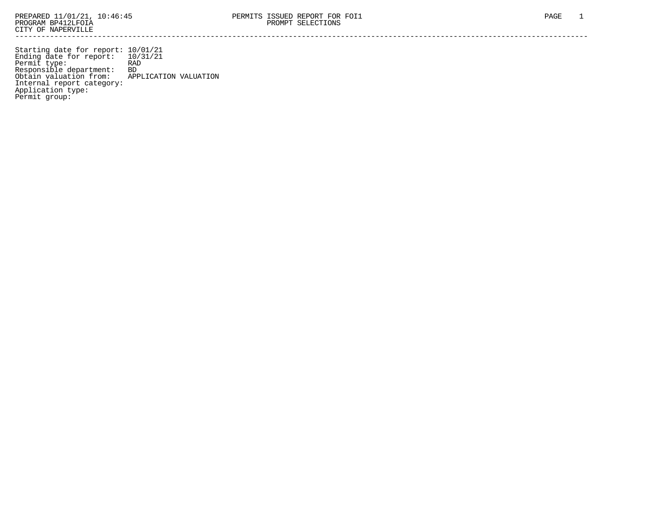Starting date for report: 10/01/21 Ending date for report: 10/31/21 Permit type: RAD Responsible department: BD Obtain valuation from: APPLICATION VALUATION Internal report category: Application type: Permit group: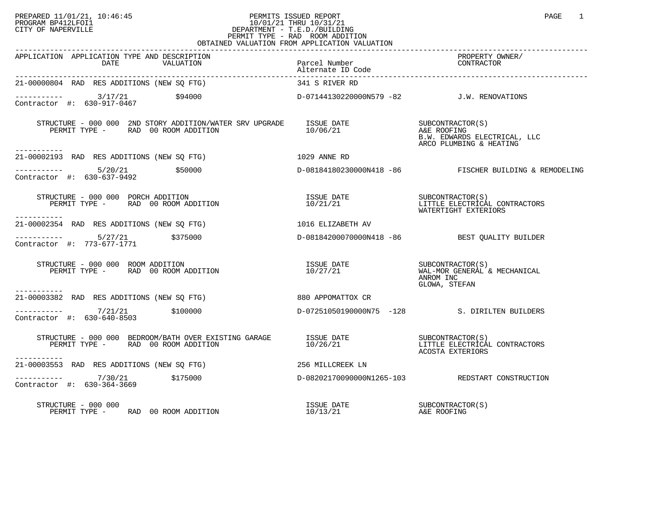## PREPARED 11/01/21, 10:46:45 PERMITS ISSUED REPORT PAGE 1<br>PROGRAM BP412LFOI1 PROGRAM PROGRAM BP412LFOI1 PROGRAM BP412LFOI1 10/01/21 THRU 10/31/21 CITY OF NAPERVILLE **Example 20** CITY OF NAPERVILLE PERMIT TYPE - RAD ROOM ADDITION OBTAINED VALUATION FROM APPLICATION VALUATION

| APPLICATION APPLICATION TYPE AND DESCRIPTION<br>DATE<br>VALUATION                                                                                                                                                                                                                                | Parcel Number<br>Alternate ID Code        | PROPERTY OWNER/<br>CONTRACTOR                                                              |
|--------------------------------------------------------------------------------------------------------------------------------------------------------------------------------------------------------------------------------------------------------------------------------------------------|-------------------------------------------|--------------------------------------------------------------------------------------------|
| 21-00000804 RAD RES ADDITIONS (NEW SQ FTG)                                                                                                                                                                                                                                                       | 341 S RIVER RD                            |                                                                                            |
| $\frac{3}{17/21}$<br>\$94000<br>Contractor #: 630-917-0467                                                                                                                                                                                                                                       | D-07144130220000N579 -82 J.W. RENOVATIONS |                                                                                            |
| STRUCTURE - 000 000 2ND STORY ADDITION/WATER SRV UPGRADE<br>PERMIT TYPE - RAD 00 ROOM ADDITION                                                                                                                                                                                                   | ISSUE DATE<br>10/06/21                    | SUBCONTRACTOR(S)<br>A&E ROOFING<br>B.W. EDWARDS ELECTRICAL, LLC<br>ARCO PLUMBING & HEATING |
| 21-00002193 RAD RES ADDITIONS (NEW SO FTG)<br>1029 ANNE RD                                                                                                                                                                                                                                       |                                           |                                                                                            |
| $--------- 5/20/21$ \$50000<br>Contractor #: 630-637-9492                                                                                                                                                                                                                                        |                                           | D-08184180230000N418 -86 FISCHER BUILDING & REMODELING                                     |
| STRUCTURE - 000 000 PORCH ADDITION<br>PERMIT TYPE - RAD 00 ROOM ADDITION<br>-----------                                                                                                                                                                                                          |                                           |                                                                                            |
| 21-00002354 RAD RES ADDITIONS (NEW SO FTG)                                                                                                                                                                                                                                                       | 1016 ELIZABETH AV                         |                                                                                            |
| $---------$ 5/27/21 \$375000<br>Contractor #: 773-677-1771                                                                                                                                                                                                                                       |                                           | D-08184200070000N418 -86 BEST OUALITY BUILDER                                              |
| STRUCTURE - 000 000 ROOM ADDITION<br>PERMIT TYPE - RAD 00 ROOM ADDITION                                                                                                                                                                                                                          |                                           | ANROM INC<br>GLOWA, STEFAN                                                                 |
| ------------<br>21-00003382 RAD RES ADDITIONS (NEW SQ FTG)                                                                                                                                                                                                                                       | 880 APPOMATTOX CR                         |                                                                                            |
| $------ 7/21/21$ \$100000<br>Contractor #: 630-640-8503                                                                                                                                                                                                                                          |                                           | D-07251050190000N75 -128 S. DIRILTEN BUILDERS                                              |
| $\begin{tabular}{llllllll} \texttt{STRUCTURE} & - & 000 & 000 & BEDRoom/BATH & OVER EXISTING & GARAGE & & & ISSUE & DATE & & & & SUBCONTRACTOR(S) \\ \texttt{PERMIT TYPE} & - & \texttt{RAD} & 00 & \texttt{ROM ADDITION} & & & & & & 10/26/21 & & & & & & LITTLE & ELECTRICAL \\ \end{tabular}$ |                                           | LITTLE ELECTRICAL CONTRACTORS<br>ACOSTA EXTERIORS                                          |
| ----------<br>21-00003553 RAD RES ADDITIONS (NEW SQ FTG) 256 MILLCREEK LN                                                                                                                                                                                                                        |                                           |                                                                                            |
| $---------$ 7/30/21 \$175000<br>Contractor #: 630-364-3669                                                                                                                                                                                                                                       |                                           | D-08202170090000N1265-103 REDSTART CONSTRUCTION                                            |
| STRUCTURE - 000 000<br>PERMIT TYPE - RAD 00 ROOM ADDITION                                                                                                                                                                                                                                        |                                           |                                                                                            |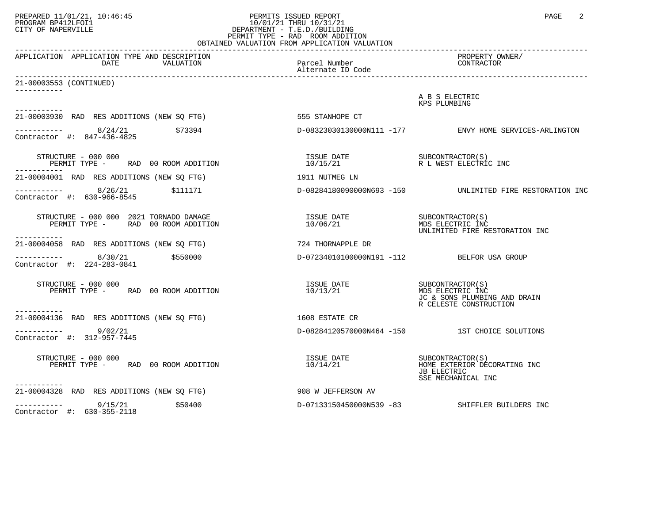## PREPARED 11/01/21, 10:46:45 PERMITS ISSUED REPORT PAGE 2<br>PROGRAM BP412LFOI1 PROGRAM PROGRAM BP412LFOI1 PROGRAM BP412LFOI1 10/01/21 THRU 10/31/21 CITY OF NAPERVILLE **Example 20** CITY OF NAPERVILLE PERMIT TYPE - RAD ROOM ADDITION OBTAINED VALUATION FROM APPLICATION VALUATION

| APPLICATION APPLICATION TYPE AND DESCRIPTION<br>DATE<br>VALUATION                                                          | Parcel Number                                            | PROPERTY OWNER/<br>CONTRACTOR                                                                   |
|----------------------------------------------------------------------------------------------------------------------------|----------------------------------------------------------|-------------------------------------------------------------------------------------------------|
| 21-00003553 (CONTINUED)                                                                                                    |                                                          |                                                                                                 |
| -----------                                                                                                                |                                                          | A B S ELECTRIC<br>KPS PLUMBING                                                                  |
| 21-00003930 RAD RES ADDITIONS (NEW SQ FTG)                                                                                 | 555 STANHOPE CT                                          |                                                                                                 |
| $--------$ 8/24/21 $\frac{1}{273394}$<br>Contractor #: 847-436-4825                                                        |                                                          | D-08323030130000N111 -177 ENVY HOME SERVICES-ARLINGTON                                          |
| STRUCTURE - 000 000<br>PERMIT TYPE - RAD 00 ROOM ADDITION                                                                  |                                                          |                                                                                                 |
| 21-00004001 RAD RES ADDITIONS (NEW SO FTG)                                                                                 | 1911 NUTMEG LN                                           |                                                                                                 |
| $--------$ 8/26/21 \$111171<br>Contractor #: 630-966-8545                                                                  |                                                          | D-08284180090000N693 -150    UNLIMITED FIRE RESTORATION INC                                     |
| STRUCTURE - 000 000 2021 TORNADO DAMAGE<br>PERMIT TYPE - RAD 00 ROOM ADDITION                                              | ISSUE DATE SUBCONTRACTOR(S)<br>10/06/21 MDS ELECTRIC INC | UNLIMITED FIRE RESTORATION INC                                                                  |
| ------------<br>21-00004058 RAD RES ADDITIONS (NEW SQ FTG)                                                                 | 724 THORNAPPLE DR                                        |                                                                                                 |
| $\begin{array}{cccc}\n - & - & - & - & - - \\ \text{Contractor} & +: & 224 - 283 - 0841 & & \text{$>$550000$} \end{array}$ | D-07234010100000N191 -112 BELFOR USA GROUP               |                                                                                                 |
| STRUCTURE - 000 000<br>PERMIT TYPE - RAD 00 ROOM ADDITION<br>-----------                                                   | ISSUE DATE<br>10/13/21                                   | SUBCONTRACTOR (S)<br>MDS ELECTRIC INC<br>JC & SONS PLUMBING AND DRAIN<br>R CELESTE CONSTRUCTION |
| 21-00004136 RAD RES ADDITIONS (NEW SO FTG)                                                                                 | 1608 ESTATE CR                                           |                                                                                                 |
| $--------$ 9/02/21<br>Contractor #: 312-957-7445                                                                           |                                                          | D-08284120570000N464 -150 1ST CHOICE SOLUTIONS                                                  |
| STRUCTURE - 000 000<br>PERMIT TYPE - RAD 00 ROOM ADDITION                                                                  |                                                          | JB ELECTRIC<br>SSE MECHANICAL INC                                                               |
| -----------<br>21-00004328 RAD RES ADDITIONS (NEW SO FTG)                                                                  | 908 W JEFFERSON AV                                       |                                                                                                 |
| -----------     9/15/21<br>\$50400<br>Contractor #: 630-355-2118                                                           | D-07133150450000N539 -83                                 | SHIFFLER BUILDERS INC                                                                           |
|                                                                                                                            |                                                          |                                                                                                 |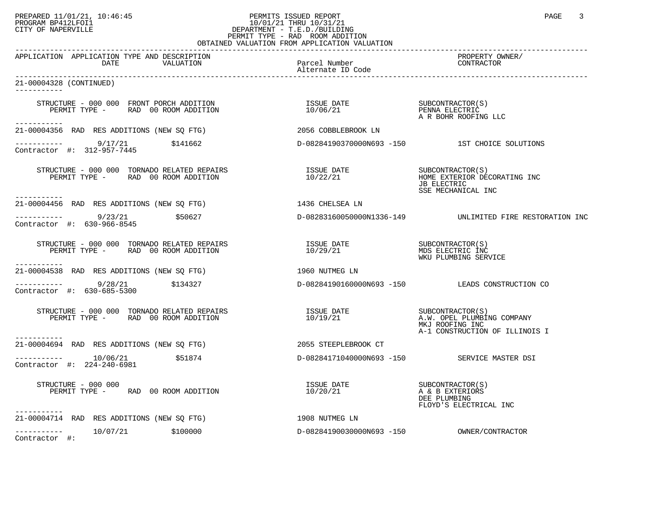## PREPARED 11/01/21, 10:46:45 PERMITS ISSUED REPORT PROGRAM BP412LFOI1 PAGE 3<br>PROGRAM BP412LFOI1 10:46:45 PAGE 10/01/21 THRU 10/31/21<br>CITY OF NAPERVILLE PROGRAM BP412LFOI1 10/01/21 THRU 10/31/21 CITY OF NAPERVILLE **Example 20** CITY OF NAPERVILLE PERMIT TYPE - RAD ROOM ADDITION

|                                                                                   | OBTAINED VALUATION FROM APPLICATION VALUATION |                                                                                       |
|-----------------------------------------------------------------------------------|-----------------------------------------------|---------------------------------------------------------------------------------------|
| APPLICATION APPLICATION TYPE AND DESCRIPTION<br>DATE<br>VALUATION                 | Parcel Number<br>Alternate ID Code            | PROPERTY OWNER/<br>CONTRACTOR                                                         |
| 21-00004328 (CONTINUED)<br>-----------                                            |                                               |                                                                                       |
| STRUCTURE - 000 000 FRONT PORCH ADDITION<br>PERMIT TYPE - RAD 00 ROOM ADDITION    | ISSUE DATE<br>10/06/21                        | SUBCONTRACTOR(S)<br>PENNA ELECTRIC<br>A R BOHR ROOFING LLC                            |
| ------------<br>21-00004356 RAD RES ADDITIONS (NEW SQ FTG)                        | 2056 COBBLEBROOK LN                           |                                                                                       |
| $\frac{9}{17/21}$ \$141662<br>Contractor #: 312-957-7445                          |                                               | D-08284190370000N693 -150 1ST CHOICE SOLUTIONS                                        |
| STRUCTURE - 000 000 TORNADO RELATED REPAIRS<br>PERMIT TYPE - RAD 00 ROOM ADDITION | ISSUE DATE<br>10/22/21                        | SUBCONTRACTOR(S)<br>HOME EXTERIOR DECORATING INC<br>JB ELECTRIC<br>SSE MECHANICAL INC |
| -----------<br>21-00004456 RAD RES ADDITIONS (NEW SQ FTG)                         | 1436 CHELSEA LN                               |                                                                                       |
| ___________<br>9/23/21<br>\$50627<br>Contractor #: 630-966-8545                   |                                               | D-08283160050000N1336-149 UNLIMITED FIRE RESTORATION INC                              |
|                                                                                   |                                               | SUBCONTRACTOR(S)<br>MDS ELECTRIC INC<br>WKU PLUMBING SERVICE                          |
| ------------<br>21-00004538 RAD RES ADDITIONS (NEW SQ FTG)                        | 1960 NUTMEG LN                                |                                                                                       |
| $--------- 9/28/21$ \$134327<br>Contractor #: 630-685-5300                        |                                               | D-08284190160000N693 -150 LEADS CONSTRUCTION CO                                       |
| STRUCTURE $-000000$ TORNADO RELATED REPAIRS<br>PERMIT TYPE - RAD 00 ROOM ADDITION | ISSUE DATE SUBCONTRACTOR(S)<br>10/19/21       | A.W. OPEL PLUMBING COMPANY<br>MKJ ROOFING INC<br>A-1 CONSTRUCTION OF ILLINOIS I       |
| ------------<br>21-00004694 RAD RES ADDITIONS (NEW SQ FTG)                        | 2055 STEEPLEBROOK CT                          |                                                                                       |
| $------ 10/06/21$<br>\$51874<br>Contractor #: 224-240-6981                        |                                               | D-08284171040000N693 -150 SERVICE MASTER DSI                                          |
| STRUCTURE - 000 000<br>PERMIT TYPE - RAD 00 ROOM ADDITION                         | ISSUE DATE<br>10/20/21                        | SUBCONTRACTOR(S)<br>A & B EXTERIORS<br>DEE PLUMBING<br>FLOYD'S ELECTRICAL INC         |
| ----------<br>21-00004714 RAD RES ADDITIONS (NEW SQ FTG)                          | 1908 NUTMEG LN                                |                                                                                       |
| 10/07/21 \$100000<br>-----------<br>Contractor #:                                 | D-08284190030000N693 -150                     | OWNER/CONTRACTOR                                                                      |